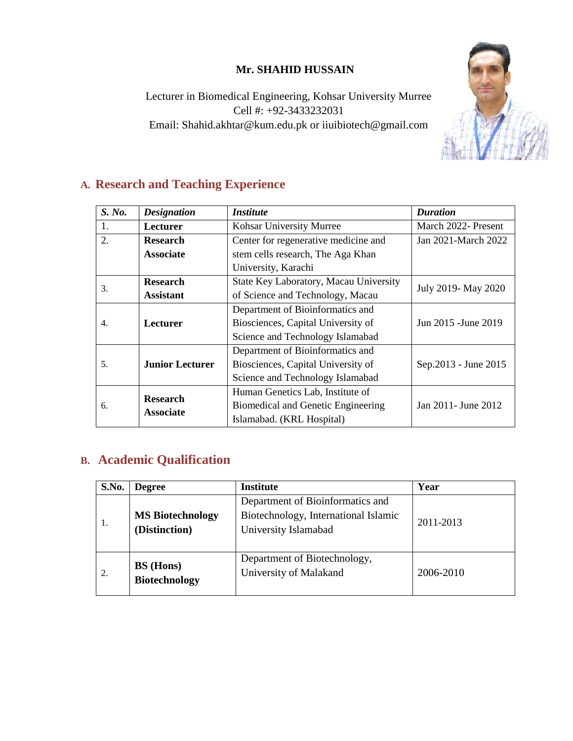# **Mr. SHAHID HUSSAIN**

Lecturer in Biomedical Engineering, Kohsar University Murree Cell #: +92-3433232031 Email: Shahid.akhtar@kum.edu.pk or iiuibiotech@gmail.com



# **A. Research and Teaching Experience**

| S. No. | <b>Designation</b>                  | <i>Institute</i>                       | <b>Duration</b>       |
|--------|-------------------------------------|----------------------------------------|-----------------------|
| 1.     | Lecturer                            | Kohsar University Murree               | March 2022- Present   |
| 2.     | <b>Research</b>                     | Center for regenerative medicine and   | Jan 2021-March 2022   |
|        | <b>Associate</b>                    | stem cells research, The Aga Khan      |                       |
|        |                                     | University, Karachi                    |                       |
| 3.     | <b>Research</b>                     | State Key Laboratory, Macau University | July 2019- May 2020   |
|        | <b>Assistant</b>                    | of Science and Technology, Macau       |                       |
|        |                                     | Department of Bioinformatics and       |                       |
| 4.     | <b>Lecturer</b>                     | Biosciences, Capital University of     | Jun 2015 - June 2019  |
|        |                                     | Science and Technology Islamabad       |                       |
|        |                                     | Department of Bioinformatics and       |                       |
| 5.     | <b>Junior Lecturer</b>              | Biosciences, Capital University of     | Sep. 2013 - June 2015 |
|        |                                     | Science and Technology Islamabad       |                       |
| 6.     | <b>Research</b><br><b>Associate</b> | Human Genetics Lab, Institute of       |                       |
|        |                                     | Biomedical and Genetic Engineering     | Jan 2011 - June 2012  |
|        |                                     | Islamabad. (KRL Hospital)              |                       |

# **B. Academic Qualification**

| <b>S.No.</b> | <b>Degree</b>                            | <b>Institute</b>                                                                                 | Year      |
|--------------|------------------------------------------|--------------------------------------------------------------------------------------------------|-----------|
| 1.           | <b>MS Biotechnology</b><br>(Distinction) | Department of Bioinformatics and<br>Biotechnology, International Islamic<br>University Islamabad | 2011-2013 |
| 2.           | <b>BS</b> (Hons)<br><b>Biotechnology</b> | Department of Biotechnology,<br>University of Malakand                                           | 2006-2010 |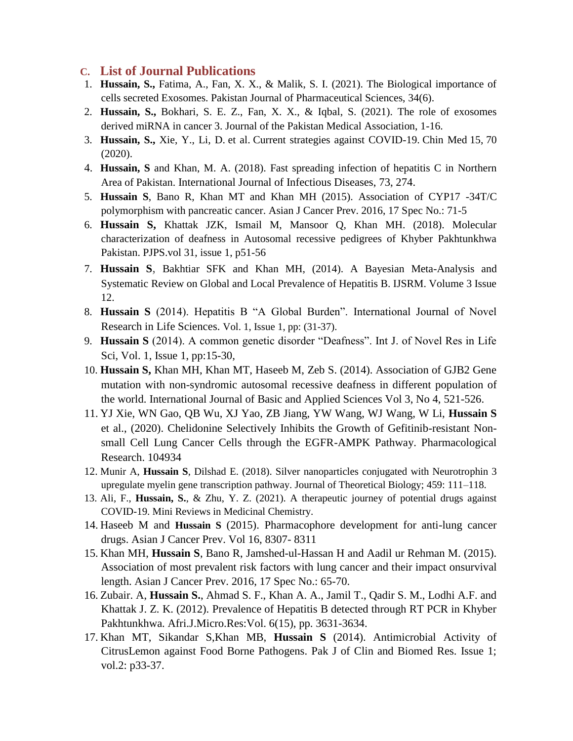#### **C. List of Journal Publications**

- 1. **Hussain, S.,** Fatima, A., Fan, X. X., & Malik, S. I. (2021). The Biological importance of cells secreted Exosomes. Pakistan Journal of Pharmaceutical Sciences, 34(6).
- 2. **Hussain, S.,** Bokhari, S. E. Z., Fan, X. X., & Iqbal, S. (2021). The role of exosomes derived miRNA in cancer 3. Journal of the Pakistan Medical Association, 1-16.
- 3. **Hussain, S.,** Xie, Y., Li, D. et al. Current strategies against COVID-19. Chin Med 15, 70 (2020).
- 4. **Hussain, S** and Khan, M. A. (2018). Fast spreading infection of hepatitis C in Northern Area of Pakistan. International Journal of Infectious Diseases, 73, 274.
- 5. **Hussain S**, Bano R, Khan MT and Khan MH (2015). Association of CYP17 -34T/C polymorphism with pancreatic cancer. Asian J Cancer Prev. 2016, 17 Spec No.: 71-5
- 6. **Hussain S,** Khattak JZK, Ismail M, Mansoor Q, Khan MH. (2018). Molecular characterization of deafness in Autosomal recessive pedigrees of Khyber Pakhtunkhwa Pakistan. PJPS.vol 31, issue 1, p51-56
- 7. **Hussain S**, Bakhtiar SFK and Khan MH, (2014). A Bayesian Meta-Analysis and Systematic Review on Global and Local Prevalence of Hepatitis B. IJSRM. Volume 3 Issue 12.
- 8. **Hussain S** (2014). Hepatitis B "A Global Burden". International Journal of Novel Research in Life Sciences. Vol. 1, Issue 1, pp: (31-37).
- 9. **Hussain S** (2014). A common genetic disorder "Deafness". Int J. of Novel Res in Life Sci, Vol. 1, Issue 1, pp:15-30,
- 10. **Hussain S,** Khan MH, Khan MT, Haseeb M, Zeb S. (2014). Association of GJB2 Gene mutation with non-syndromic autosomal recessive deafness in different population of the world. International Journal of Basic and Applied Sciences Vol 3, No 4, 521-526.
- 11. YJ Xie, WN Gao, QB Wu, XJ Yao, ZB Jiang, YW Wang, WJ Wang, W Li, **Hussain S** et al., (2020). [Chelidonine Selectively Inhibits the Growth of Gefitinib-resistant Non](about:blank)[small Cell Lung Cancer Cells through the EGFR-AMPK Pathway.](about:blank) Pharmacological Research. 104934
- 12. Munir A, **Hussain S**, Dilshad E. (2018). Silver nanoparticles conjugated with Neurotrophin 3 upregulate myelin gene transcription pathway. Journal of Theoretical Biology; 459: 111–118.
- 13. Ali, F., **Hussain, S.**, & Zhu, Y. Z. (2021). A therapeutic journey of potential drugs against COVID-19. Mini Reviews in Medicinal Chemistry.
- 14. Haseeb M and **Hussain S** (2015). Pharmacophore development for anti-lung cancer drugs. Asian J Cancer Prev. Vol 16, 8307- 8311
- 15. Khan MH, **Hussain S**, Bano R, Jamshed-ul-Hassan H and Aadil ur Rehman M. (2015). Association of most prevalent risk factors with lung cancer and their impact onsurvival length. Asian J Cancer Prev. 2016, 17 Spec No.: 65-70.
- 16. Zubair. A, **Hussain S.**, Ahmad S. F., Khan A. A., Jamil T., Qadir S. M., Lodhi A.F. and Khattak J. Z. K. (2012). Prevalence of Hepatitis B detected through RT PCR in Khyber Pakhtunkhwa. Afri.J.Micro.Res:Vol. 6(15), pp. 3631-3634.
- 17. Khan MT, Sikandar S,Khan MB, **Hussain S** (2014). Antimicrobial Activity of CitrusLemon against Food Borne Pathogens. Pak J of Clin and Biomed Res. Issue 1; vol.2: p33-37.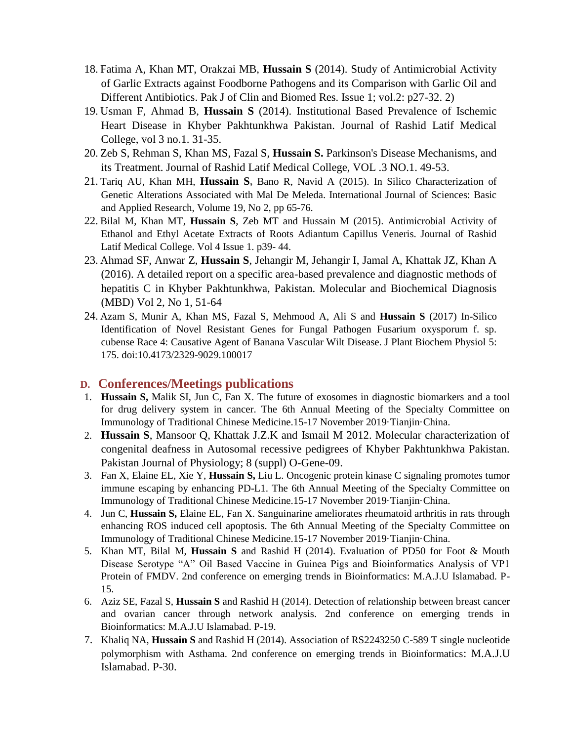- 18. Fatima A, Khan MT, Orakzai MB, **Hussain S** (2014). Study of Antimicrobial Activity of Garlic Extracts against Foodborne Pathogens and its Comparison with Garlic Oil and Different Antibiotics. Pak J of Clin and Biomed Res. Issue 1; vol.2: p27-32. 2)
- 19. Usman F, Ahmad B, **Hussain S** (2014). Institutional Based Prevalence of Ischemic Heart Disease in Khyber Pakhtunkhwa Pakistan. Journal of Rashid Latif Medical College, vol 3 no.1. 31-35.
- 20. Zeb S, Rehman S, Khan MS, Fazal S, **Hussain S.** Parkinson's Disease Mechanisms, and its Treatment. Journal of Rashid Latif Medical College, VOL .3 NO.1. 49-53.
- 21. Tariq AU, Khan MH, **Hussain S,** Bano R, Navid A (2015). In Silico Characterization of Genetic Alterations Associated with Mal De Meleda. International Journal of Sciences: Basic and Applied Research, Volume 19, No 2, pp 65-76.
- 22. Bilal M, Khan MT, **Hussain S**, Zeb MT and Hussain M (2015). Antimicrobial Activity of Ethanol and Ethyl Acetate Extracts of Roots Adiantum Capillus Veneris. Journal of Rashid Latif Medical College. Vol 4 Issue 1. p39- 44.
- 23. Ahmad SF, Anwar Z, **Hussain S**, Jehangir M, Jehangir I, Jamal A, Khattak JZ, Khan A (2016). A detailed report on a specific area-based prevalence and diagnostic methods of hepatitis C in Khyber Pakhtunkhwa, Pakistan. Molecular and Biochemical Diagnosis (MBD) Vol 2, No 1, 51-64
- 24. Azam S, Munir A, Khan MS, Fazal S, Mehmood A, Ali S and **Hussain S** (2017) In-Silico Identification of Novel Resistant Genes for Fungal Pathogen Fusarium oxysporum f. sp. cubense Race 4: Causative Agent of Banana Vascular Wilt Disease. J Plant Biochem Physiol 5: 175. doi:10.4173/2329-9029.100017

#### **D. Conferences/Meetings publications**

- 1. **Hussain S,** Malik SI, Jun C, Fan X. The future of exosomes in diagnostic biomarkers and a tool for drug delivery system in cancer. The 6th Annual Meeting of the Specialty Committee on Immunology of Traditional Chinese Medicine.15-17 November 2019·Tianjin·China.
- 2. **Hussain S**, Mansoor Q, Khattak J.Z.K and Ismail M 2012. Molecular characterization of congenital deafness in Autosomal recessive pedigrees of Khyber Pakhtunkhwa Pakistan. Pakistan Journal of Physiology; 8 (suppl) O-Gene-09.
- 3. Fan X, Elaine EL, Xie Y, **Hussain S,** Liu L. Oncogenic protein kinase C signaling promotes tumor immune escaping by enhancing PD-L1. The 6th Annual Meeting of the Specialty Committee on Immunology of Traditional Chinese Medicine.15-17 November 2019·Tianjin·China.
- 4. Jun C, **Hussain S,** Elaine EL, Fan X. Sanguinarine ameliorates rheumatoid arthritis in rats through enhancing ROS induced cell apoptosis. The 6th Annual Meeting of the Specialty Committee on Immunology of Traditional Chinese Medicine.15-17 November 2019·Tianjin·China.
- 5. Khan MT, Bilal M, **Hussain S** and Rashid H (2014). Evaluation of PD50 for Foot & Mouth Disease Serotype "A" Oil Based Vaccine in Guinea Pigs and Bioinformatics Analysis of VP1 Protein of FMDV. 2nd conference on emerging trends in Bioinformatics: M.A.J.U Islamabad. P-15.
- 6. Aziz SE, Fazal S, **Hussain S** and Rashid H (2014). Detection of relationship between breast cancer and ovarian cancer through network analysis. 2nd conference on emerging trends in Bioinformatics: M.A.J.U Islamabad. P-19.
- 7. Khaliq NA, **Hussain S** and Rashid H (2014). Association of RS2243250 C-589 T single nucleotide polymorphism with Asthama. 2nd conference on emerging trends in Bioinformatics: M.A.J.U Islamabad. P-30.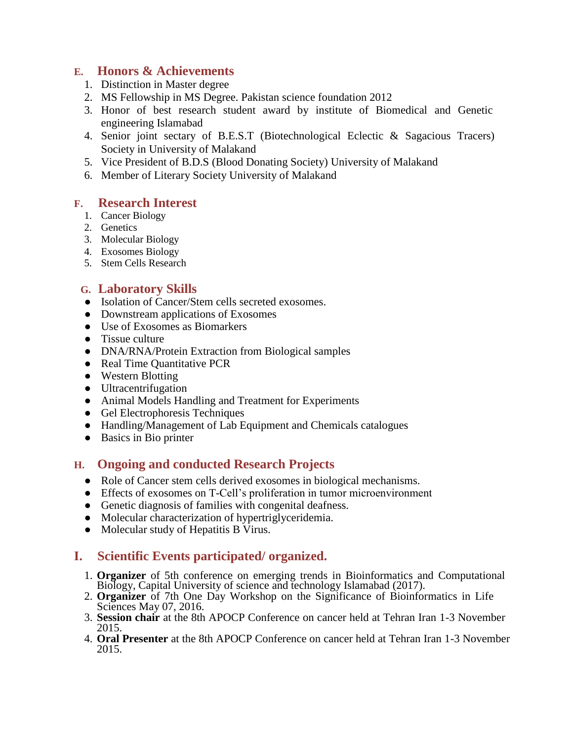## **E. Honors & Achievements**

- 1. Distinction in Master degree
- 2. MS Fellowship in MS Degree. Pakistan science foundation 2012
- 3. Honor of best research student award by institute of Biomedical and Genetic engineering Islamabad
- 4. Senior joint sectary of B.E.S.T (Biotechnological Eclectic & Sagacious Tracers) Society in University of Malakand
- 5. Vice President of B.D.S (Blood Donating Society) University of Malakand
- 6. Member of Literary Society University of Malakand

### **F. Research Interest**

- 1. Cancer Biology
- 2. Genetics
- 3. Molecular Biology
- 4. Exosomes Biology
- 5. Stem Cells Research

## **G. Laboratory Skills**

- Isolation of Cancer/Stem cells secreted exosomes.
- Downstream applications of Exosomes
- Use of Exosomes as Biomarkers
- Tissue culture
- DNA/RNA/Protein Extraction from Biological samples
- Real Time Quantitative PCR
- Western Blotting
- Ultracentrifugation
- Animal Models Handling and Treatment for Experiments
- Gel Electrophoresis Techniques
- Handling/Management of Lab Equipment and Chemicals catalogues
- Basics in Bio printer

## **H. Ongoing and conducted Research Projects**

- Role of Cancer stem cells derived exosomes in biological mechanisms.
- Effects of exosomes on T-Cell's proliferation in tumor microenvironment
- Genetic diagnosis of families with congenital deafness.
- Molecular characterization of hypertriglyceridemia.
- Molecular study of Hepatitis B Virus.

# **I. Scientific Events participated/ organized.**

- 1. **Organizer** of 5th conference on emerging trends in Bioinformatics and Computational Biology, Capital University of science and technology Islamabad (2017).
- 2. **Organizer** of 7th One Day Workshop on the Significance of Bioinformatics in Life Sciences May 07, 2016.
- 3. **Session chair** at the 8th APOCP Conference on cancer held at Tehran Iran 1-3 November 2015.
- 4. **Oral Presenter** at the 8th APOCP Conference on cancer held at Tehran Iran 1-3 November 2015.